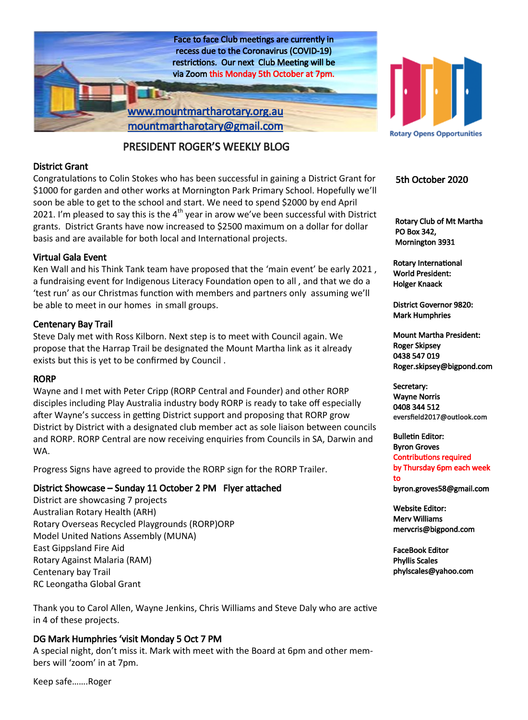

### PRESIDENT ROGER'S WEEKLY BLOG

### District Grant

Congratulations to Colin Stokes who has been successful in gaining a District Grant for \$1000 for garden and other works at Mornington Park Primary School. Hopefully we'll soon be able to get to the school and start. We need to spend \$2000 by end April 2021. I'm pleased to say this is the  $4<sup>th</sup>$  year in arow we've been successful with District grants. District Grants have now increased to \$2500 maximum on a dollar for dollar basis and are available for both local and International projects.

### Virtual Gala Event

Ken Wall and his Think Tank team have proposed that the 'main event' be early 2021 , a fundraising event for Indigenous Literacy Foundation open to all , and that we do a 'test run' as our Christmas function with members and partners only assuming we'll be able to meet in our homes in small groups.

### Centenary Bay Trail

Steve Daly met with Ross Kilborn. Next step is to meet with Council again. We propose that the Harrap Trail be designated the Mount Martha link as it already exists but this is yet to be confirmed by Council .

### RORP

Wayne and I met with Peter Cripp (RORP Central and Founder) and other RORP disciples including Play Australia industry body RORP is ready to take off especially after Wayne's success in getting District support and proposing that RORP grow District by District with a designated club member act as sole liaison between councils and RORP. RORP Central are now receiving enquiries from Councils in SA, Darwin and WA.

Progress Signs have agreed to provide the RORP sign for the RORP Trailer.

### District Showcase – Sunday 11 October 2 PM Flyer attached

District are showcasing 7 projects Australian Rotary Health (ARH) Rotary Overseas Recycled Playgrounds (RORP)ORP Model United Nations Assembly (MUNA) East Gippsland Fire Aid Rotary Against Malaria (RAM) Centenary bay Trail RC Leongatha Global Grant

Thank you to Carol Allen, Wayne Jenkins, Chris Williams and Steve Daly who are active in 4 of these projects.

### DG Mark Humphries 'visit Monday 5 Oct 7 PM

A special night, don't miss it. Mark with meet with the Board at 6pm and other members will 'zoom' in at 7pm.

Keep safe…….Roger



### 5th October 2020

 Rotary Club of Mt Martha PO Box 342, Mornington 3931

Rotary International World President: Holger Knaack

District Governor 9820: Mark Humphries

Mount Martha President: Roger Skipsey 0438 547 019 Roger.skipsey@bigpond.com

Secretary: Wayne Norris 0408 344 512 eversfield2017@outlook.com

Bulletin Editor: Byron Groves Contributions required by Thursday 6pm each week to byron.groves58@gmail.com

Website Editor: Merv Williams mervcris@bigpond.com

FaceBook Editor Phyllis Scales phylscales@yahoo.com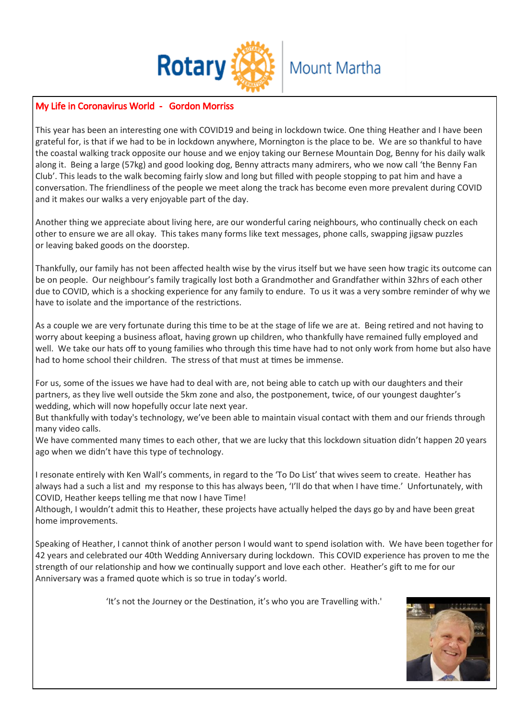

### My Life in Coronavirus World - Gordon Morriss

This year has been an interesting one with COVID19 and being in lockdown twice. One thing Heather and I have been grateful for, is that if we had to be in lockdown anywhere, Mornington is the place to be. We are so thankful to have the coastal walking track opposite our house and we enjoy taking our Bernese Mountain Dog, Benny for his daily walk along it. Being a large (57kg) and good looking dog, Benny attracts many admirers, who we now call 'the Benny Fan Club'. This leads to the walk becoming fairly slow and long but filled with people stopping to pat him and have a conversation. The friendliness of the people we meet along the track has become even more prevalent during COVID and it makes our walks a very enjoyable part of the day.

Another thing we appreciate about living here, are our wonderful caring neighbours, who continually check on each other to ensure we are all okay. This takes many forms like text messages, phone calls, swapping jigsaw puzzles or leaving baked goods on the doorstep.

Thankfully, our family has not been affected health wise by the virus itself but we have seen how tragic its outcome can be on people. Our neighbour's family tragically lost both a Grandmother and Grandfather within 32hrs of each other due to COVID, which is a shocking experience for any family to endure. To us it was a very sombre reminder of why we have to isolate and the importance of the restrictions.

As a couple we are very fortunate during this time to be at the stage of life we are at. Being retired and not having to worry about keeping a business afloat, having grown up children, who thankfully have remained fully employed and well. We take our hats off to young families who through this time have had to not only work from home but also have had to home school their children. The stress of that must at times be immense.

For us, some of the issues we have had to deal with are, not being able to catch up with our daughters and their partners, as they live well outside the 5km zone and also, the postponement, twice, of our youngest daughter's wedding, which will now hopefully occur late next year.

But thankfully with today's technology, we've been able to maintain visual contact with them and our friends through many video calls.

We have commented many times to each other, that we are lucky that this lockdown situation didn't happen 20 years ago when we didn't have this type of technology.

I resonate entirely with Ken Wall's comments, in regard to the 'To Do List' that wives seem to create. Heather has always had a such a list and my response to this has always been, 'I'll do that when I have time.' Unfortunately, with COVID, Heather keeps telling me that now I have Time!

Although, I wouldn't admit this to Heather, these projects have actually helped the days go by and have been great home improvements.

Speaking of Heather, I cannot think of another person I would want to spend isolation with. We have been together for 42 years and celebrated our 40th Wedding Anniversary during lockdown. This COVID experience has proven to me the strength of our relationship and how we continually support and love each other. Heather's gift to me for our Anniversary was a framed quote which is so true in today's world.

'It's not the Journey or the Destination, it's who you are Travelling with.'

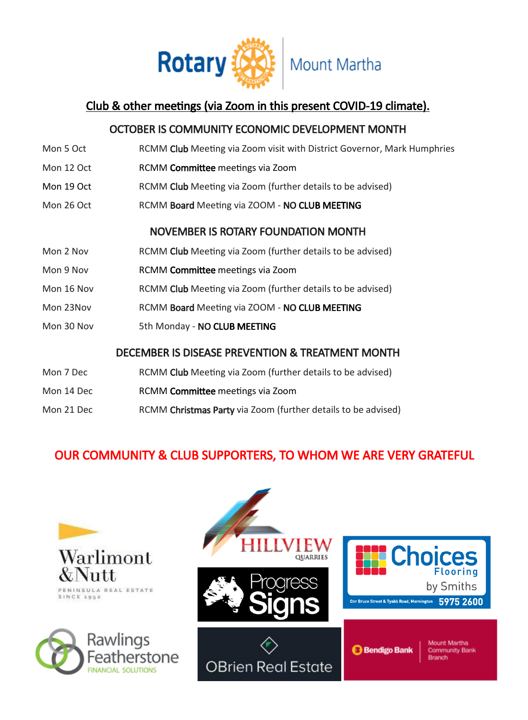

# Club & other meetings (via Zoom in this present COVID-19 climate).

### OCTOBER IS COMMUNITY ECONOMIC DEVELOPMENT MONTH

| Mon 5 Oct                                        | RCMM Club Meeting via Zoom visit with District Governor, Mark Humphries |
|--------------------------------------------------|-------------------------------------------------------------------------|
| Mon 12 Oct                                       | RCMM Committee meetings via Zoom                                        |
| Mon 19 Oct                                       | RCMM Club Meeting via Zoom (further details to be advised)              |
| Mon 26 Oct                                       | RCMM Board Meeting via ZOOM - NO CLUB MEETING                           |
| <b>NOVEMBER IS ROTARY FOUNDATION MONTH</b>       |                                                                         |
| Mon 2 Nov                                        | RCMM Club Meeting via Zoom (further details to be advised)              |
| Mon 9 Nov                                        | RCMM Committee meetings via Zoom                                        |
| Mon 16 Nov                                       | RCMM Club Meeting via Zoom (further details to be advised)              |
| Mon 23Nov                                        | RCMM Board Meeting via ZOOM - NO CLUB MEETING                           |
| Mon 30 Nov                                       | 5th Monday - NO CLUB MEETING                                            |
| DECEMBER IS DISEASE PREVENTION & TREATMENT MONTH |                                                                         |
| Mon 7 Dec                                        | RCMM Club Meeting via Zoom (further details to be advised)              |
| Mon 14 Dec                                       | RCMM Committee meetings via Zoom                                        |
| Mon 21 Dec                                       | RCMM Christmas Party via Zoom (further details to be advised)           |

# OUR COMMUNITY & CLUB SUPPORTERS, TO WHOM WE ARE VERY GRATEFUL





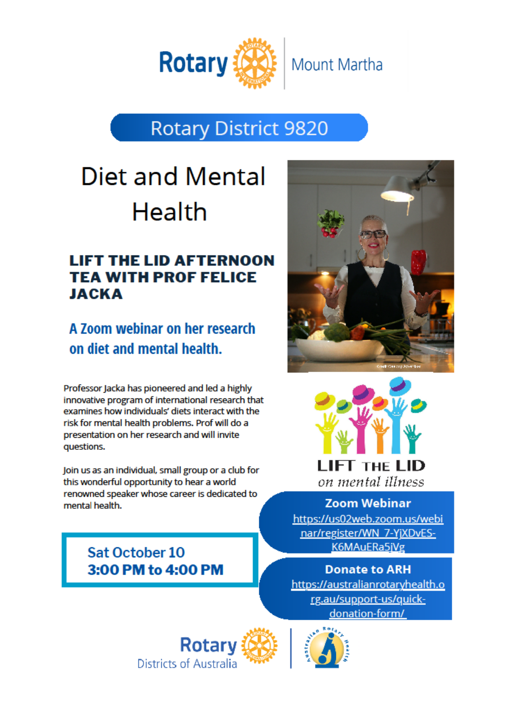

# **Rotary District 9820**

# Diet and Mental **Health**

# **LIFT THE LID AFTERNOON TEA WITH PROF FELICE JACKA**

A 700m webinar on her research on diet and mental health.

Professor Jacka has pioneered and led a highly innovative program of international research that examines how individuals' diets interact with the risk for mental health problems. Prof will do a presentation on her research and will invite questions.

Join us as an individual, small group or a club for this wonderful opportunity to hear a world renowned speaker whose career is dedicated to mental health.

> Sat October 10 3:00 PM to 4:00 PM





**Zoom Webinar** https://us02web.zoom.us/webi nar/register/WN 7-YiXDvES-K6MAuERa5iVg

**Donate to ARH** https://australianrotaryhealth.o rg.au/support-us/quickdonation-form/



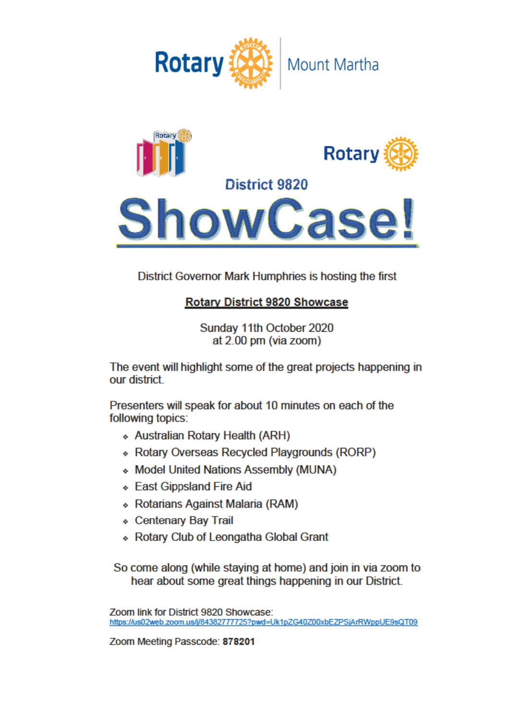



District Governor Mark Humphries is hosting the first

# **Rotary District 9820 Showcase**

Sunday 11th October 2020 at 2.00 pm (via zoom)

The event will highlight some of the great projects happening in our district

Presenters will speak for about 10 minutes on each of the following topics:

- ◆ Australian Rotary Health (ARH)
- ◆ Rotary Overseas Recycled Playgrounds (RORP)
- Model United Nations Assembly (MUNA)
- ↓ East Gippsland Fire Aid
- ◆ Rotarians Against Malaria (RAM)
- ◆ Centenary Bay Trail
- ↓ Rotary Club of Leongatha Global Grant

So come along (while staying at home) and join in via zoom to hear about some great things happening in our District.

Zoom link for District 9820 Showcase: https://us02web.zoom.us/j/84382777725?pwd=Uk1pZG40Z00xbEZPSjArRWppUE9sQT09

Zoom Meeting Passcode: 878201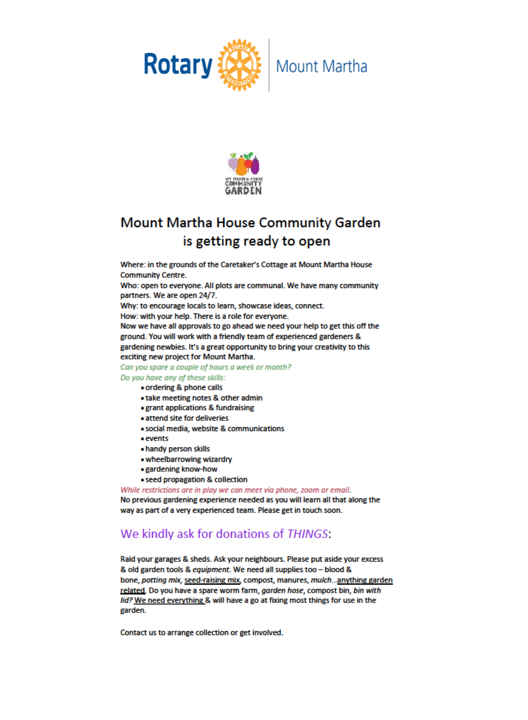



# Mount Martha House Community Garden is getting ready to open

Where: in the grounds of the Caretaker's Cottage at Mount Martha House **Community Centre.** 

Who: open to everyone. All plots are communal. We have many community partners. We are open 24/7.

Why: to encourage locals to learn, showcase ideas, connect.

How: with your help. There is a role for everyone.

Now we have all approvals to go ahead we need your help to get this off the ground. You will work with a friendly team of experienced gardeners & gardening newbies. It's a great opportunity to bring your creativity to this exciting new project for Mount Martha.

Can you spare a couple of hours a week or month?

Do you have any of these skills:

- ordering & phone calls
- . take meeting notes & other admin
- · grant applications & fundraising
- · attend site for deliveries
- · social media, website & communications
- $e$  events
- . handy person skills
- . wheelbarrowing wizardry
- · gardening know-how
- seed propagation & collection

While restrictions are in play we can meet via phone, zoom or email.

No previous gardening experience needed as you will learn all that along the way as part of a very experienced team. Please get in touch soon.

# We kindly ask for donations of THINGS:

Raid your garages & sheds. Ask your neighbours. Please put aside your excess & old garden tools & equipment. We need all supplies too - blood & bone, potting mix, seed-raising mix, compost, manures, mulch...anything garden related. Do you have a spare worm farm, garden hose, compost bin, bin with lid? We need everything & will have a go at fixing most things for use in the garden.

Contact us to arrange collection or get involved.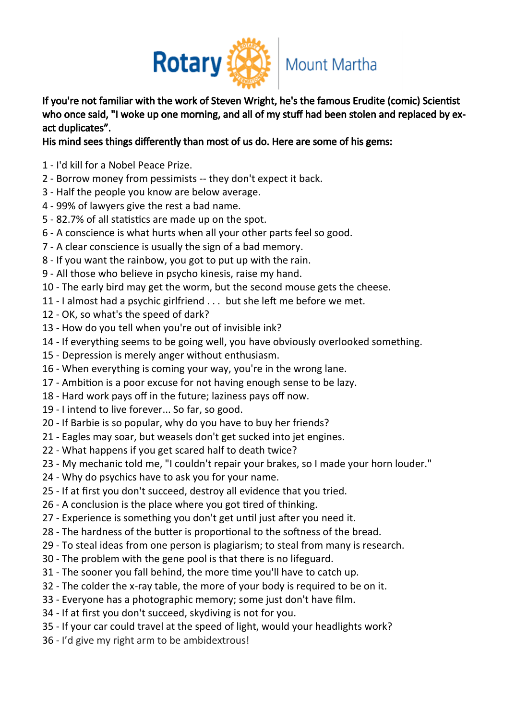

If you're not familiar with the work of Steven Wright, he's the famous Erudite (comic) Scientist who once said, "I woke up one morning, and all of my stuff had been stolen and replaced by exact duplicates".

### His mind sees things differently than most of us do. Here are some of his gems:

- I'd kill for a Nobel Peace Prize.
- Borrow money from pessimists -- they don't expect it back.
- Half the people you know are below average.
- 99% of lawyers give the rest a bad name.
- 82.7% of all statistics are made up on the spot.
- A conscience is what hurts when all your other parts feel so good.
- A clear conscience is usually the sign of a bad memory.
- If you want the rainbow, you got to put up with the rain.
- All those who believe in psycho kinesis, raise my hand.
- The early bird may get the worm, but the second mouse gets the cheese.
- I almost had a psychic girlfriend . . . but she left me before we met.
- OK, so what's the speed of dark?
- How do you tell when you're out of invisible ink?
- If everything seems to be going well, you have obviously overlooked something.
- Depression is merely anger without enthusiasm.
- When everything is coming your way, you're in the wrong lane.
- Ambition is a poor excuse for not having enough sense to be lazy.
- Hard work pays off in the future; laziness pays off now.
- I intend to live forever... So far, so good.
- If Barbie is so popular, why do you have to buy her friends?
- Eagles may soar, but weasels don't get sucked into jet engines.
- What happens if you get scared half to death twice?
- My mechanic told me, "I couldn't repair your brakes, so I made your horn louder."
- Why do psychics have to ask you for your name.
- If at first you don't succeed, destroy all evidence that you tried.
- A conclusion is the place where you got tired of thinking.
- Experience is something you don't get until just after you need it.
- The hardness of the butter is proportional to the softness of the bread.
- To steal ideas from one person is plagiarism; to steal from many is research.
- The problem with the gene pool is that there is no lifeguard.
- The sooner you fall behind, the more time you'll have to catch up.
- The colder the x-ray table, the more of your body is required to be on it.
- Everyone has a photographic memory; some just don't have film.
- If at first you don't succeed, skydiving is not for you.
- If your car could travel at the speed of light, would your headlights work?
- I'd give my right arm to be ambidextrous!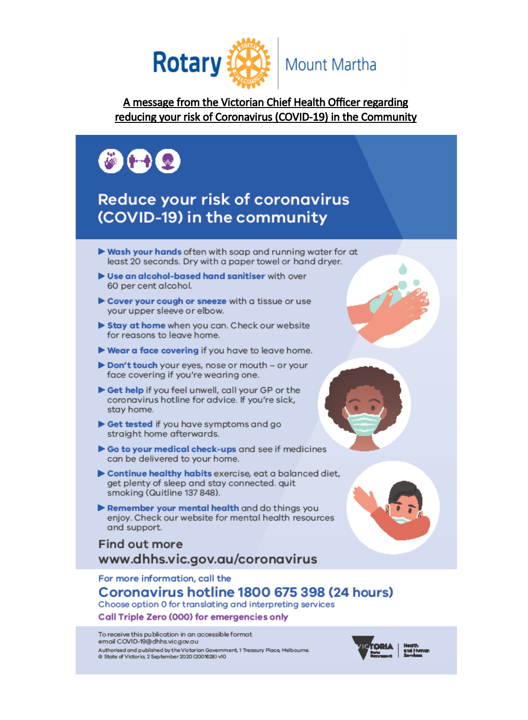

## A message from the Victorian Chief Health Officer regarding reducing your risk of Coronavirus (COVID-19) in the Community



# **Reduce your risk of coronavirus** (COVID-19) in the community

- ► Wash your hands often with soap and running water for at least 20 seconds. Dry with a paper towel or hand dryer.
- Use an alcohol-based hand sanitiser with over 60 per cent alcohol.
- Cover your cough or sneeze with a tissue or use your upper sleeve or elbow.
- Stay at home when you can. Check our website for reasons to leave home.
- Wear a face covering if you have to leave home.
- Don't touch your eyes, nose or mouth or your face covering if you're wearing one.
- Get help if you feel unwell, call your GP or the coronavirus hotline for advice. If you're sick, stay home.
- Get tested if you have symptoms and go straight home afterwards.
- Go to your medical check-ups and see if medicines can be delivered to your home.
- Continue healthy habits exercise, eat a balanced diet, get plenty of sleep and stay connected. quit smoking (Quitline 137 848).
- Remember your mental health and do things you enjoy. Check our website for mental health resources and support.

## **Find out more** www.dhhs.vic.gov.au/coronavirus

For more information, call the

### Coronavirus hotline 1800 675 398 (24 hours) Choose option 0 for translating and interpreting services

# Call Triple Zero (000) for emergencies only

To receive this publication in an accessible format email COVID-19@dhhs.vic.gov.au Authorised and published by the Victorian Government, 1 Treasury Place, Melbourne @ State of Victoria, 2 September 2020 (2001628) v10